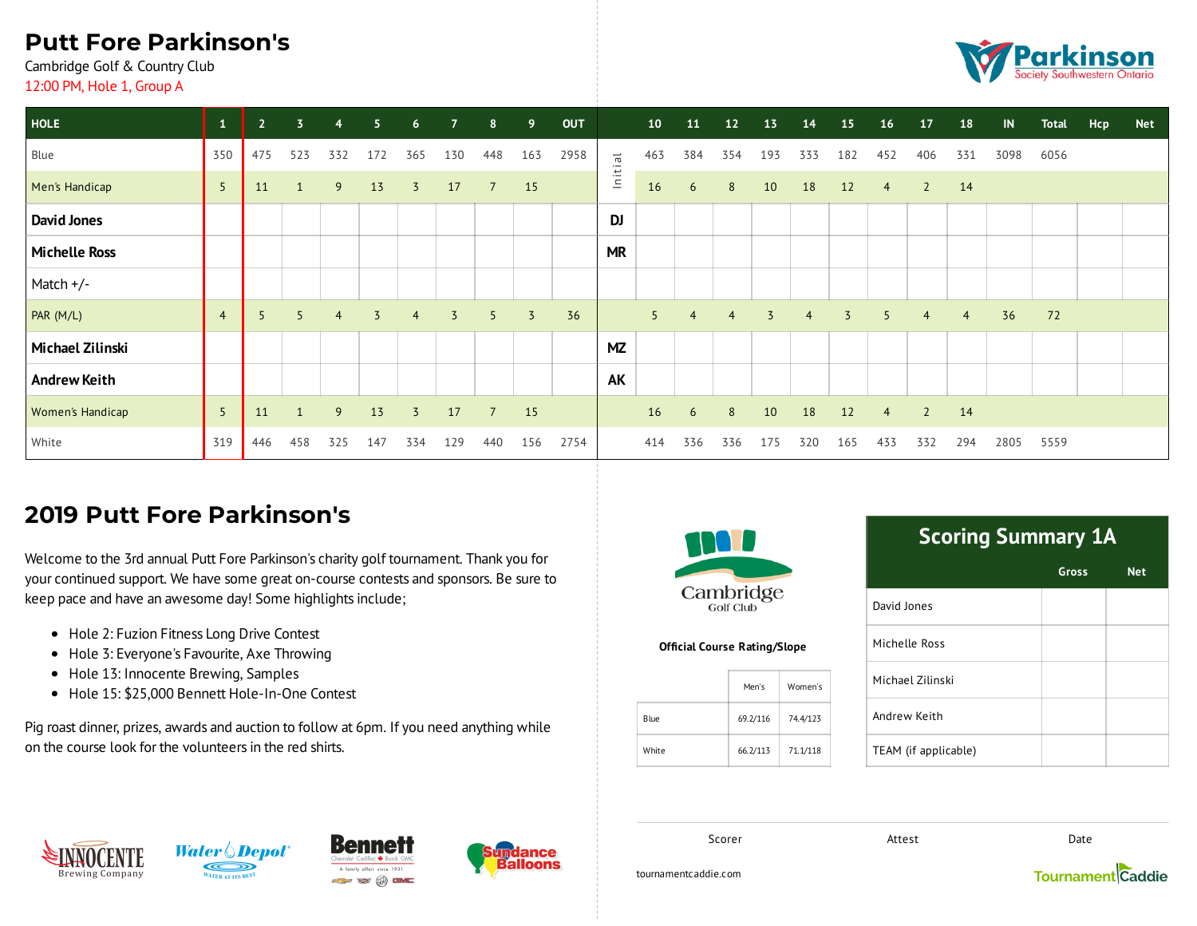# **Putt Fore Parkinson's**

Cambridge Golf & Country Club 12:00 PM, Hole 1, Group A



| <b>HOLE</b>             | $\mathbf{1}$   | 2 <sup>1</sup>  | $\overline{3}$ | $\overline{4}$ | 5              | $6\overline{6}$ | $\overline{7}$ | 8               | 9              | <b>OUT</b> |                                | 10  | 11             | 12             | 13             | 14             | 15             | <b>16</b>      | 17             | 18             | $\blacksquare$ | <b>Total</b> | Hcp | <b>Net</b> |
|-------------------------|----------------|-----------------|----------------|----------------|----------------|-----------------|----------------|-----------------|----------------|------------|--------------------------------|-----|----------------|----------------|----------------|----------------|----------------|----------------|----------------|----------------|----------------|--------------|-----|------------|
| Blue                    | 350            | 475             | 523            | 332            | 172            | 365             | 130            | 448             | 163            | 2958       | $\overline{\overline{\sigma}}$ | 463 | 384            | 354            | 193            | 333            | 182            | 452            | 406            | 331            | 3098           | 6056         |     |            |
| Men's Handicap          | 5              | 11              | 1              | 9              | 13             | $\overline{3}$  | 17             | $7\overline{ }$ | 15             |            | lnitii                         | 16  | 6              | 8              | 10             | 18             | 12             | $\overline{4}$ | $\overline{2}$ | 14             |                |              |     |            |
| <b>David Jones</b>      |                |                 |                |                |                |                 |                |                 |                |            | DJ                             |     |                |                |                |                |                |                |                |                |                |              |     |            |
| <b>Michelle Ross</b>    |                |                 |                |                |                |                 |                |                 |                |            | <b>MR</b>                      |     |                |                |                |                |                |                |                |                |                |              |     |            |
| Match +/-               |                |                 |                |                |                |                 |                |                 |                |            |                                |     |                |                |                |                |                |                |                |                |                |              |     |            |
| PAR (M/L)               | $\overline{4}$ | $5\overline{5}$ | $5^{\circ}$    | $\overline{4}$ | $\overline{5}$ | 4               | $\overline{3}$ | 5               | $\overline{3}$ | 36         |                                | 5   | $\overline{4}$ | $\overline{4}$ | $\overline{3}$ | $\overline{4}$ | $\overline{3}$ | 5              | $\overline{4}$ | $\overline{4}$ | 36             | 72           |     |            |
| Michael Zilinski        |                |                 |                |                |                |                 |                |                 |                |            | <b>MZ</b>                      |     |                |                |                |                |                |                |                |                |                |              |     |            |
| <b>Andrew Keith</b>     |                |                 |                |                |                |                 |                |                 |                |            | AK                             |     |                |                |                |                |                |                |                |                |                |              |     |            |
| <b>Women's Handicap</b> | 5              | 11              | $\mathbf{1}$   | 9              | 13             | $\overline{5}$  | 17             | $\overline{7}$  | 15             |            |                                | 16  | 6              | 8              | 10             | 18             | 12             | $\overline{4}$ | <sup>2</sup>   | 14             |                |              |     |            |
| White                   | 319            | 446             | 458            | 325            | 147            | 334             | 129            | 440             | 156            | 2754       |                                | 414 | 336            | 336            | 175            | 320            | 165            | 433            | 332            | 294            | 2805           | 5559         |     |            |

### **2019 Putt Fore Parkinson's**

Welcome to the 3rd annual Putt Fore Parkinson's charity golf tournament. Thank you for your continued support. We have some great on-course contests and sponsors. Be sure to keep pace and have an awesome day! Some highlights include;

- Hole 2: Fuzion Fitness Long Drive Contest
- Hole 3: Everyone's Favourite, Axe Throwing
- Hole 13: Innocente Brewing, Samples
- Hole 15: \$25,000 Bennett Hole-In-One Contest

Pig roast dinner, prizes, awards and auction to follow at 6pm. If you need anything while on the course look for the volunteers in the red shirts.



**Official Course Rating/Slope** 

|       | Men's    | Women's  |
|-------|----------|----------|
| Blue  | 69.2/116 | 74.4/123 |
| White | 66.2/113 | 71.1/118 |

# **Scoring Summary 1A**

|                      | <b>Gross</b> | <b>Net</b> |
|----------------------|--------------|------------|
| David Jones          |              |            |
| Michelle Ross        |              |            |
| Michael Zilinski     |              |            |
| Andrew Keith         |              |            |
| TEAM (if applicable) |              |            |

**Brewing Company** 







Scorer **Contract Date** Attest **Date** 

tournamentcaddie.com

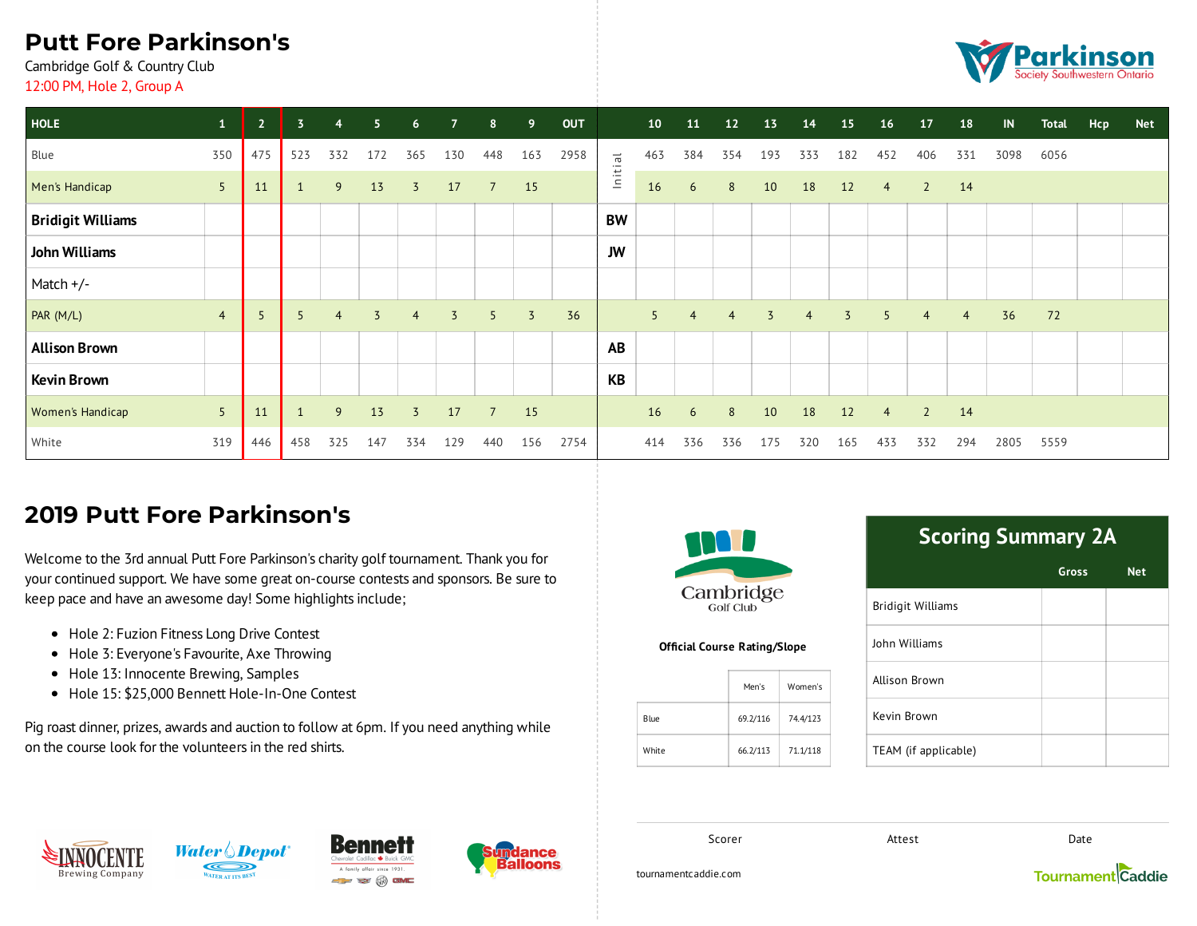# **Putt Fore Parkinson's**

Cambridge Golf & Country Club 12:00 PM, Hole 2, Group A



| <b>HOLE</b>              | $\mathbf{1}$   | 2 <sup>1</sup> | $\overline{3}$ | $\overline{4}$ | 5.             | 6 <sup>1</sup> | $\overline{7}$ | 8              | 9              | <b>OUT</b> |         | 10  | 11             | 12             | 13             | 14  | 15             | <b>16</b>      | 17             | 18             | IN   | <b>Total</b> | Hcp | <b>Net</b> |
|--------------------------|----------------|----------------|----------------|----------------|----------------|----------------|----------------|----------------|----------------|------------|---------|-----|----------------|----------------|----------------|-----|----------------|----------------|----------------|----------------|------|--------------|-----|------------|
| Blue                     | 350            | 475            | 523            | 332            | 172            | 365            | 130            | 448            | 163            | 2958       |         | 463 | 384            | 354            | 193            | 333 | 182            | 452            | 406            | 331            | 3098 | 6056         |     |            |
| Men's Handicap           | 5 <sup>5</sup> | 11             |                | 9              | 13             | $\overline{3}$ | 17             | $\overline{7}$ | 15             |            | Initial | 16  | 6              | 8              | 10             | 18  | 12             | $\overline{4}$ | $\overline{2}$ | 14             |      |              |     |            |
| <b>Bridigit Williams</b> |                |                |                |                |                |                |                |                |                |            | BW      |     |                |                |                |     |                |                |                |                |      |              |     |            |
| John Williams            |                |                |                |                |                |                |                |                |                |            | JW      |     |                |                |                |     |                |                |                |                |      |              |     |            |
| Match +/-                |                |                |                |                |                |                |                |                |                |            |         |     |                |                |                |     |                |                |                |                |      |              |     |            |
| PAR (M/L)                | $\overline{4}$ | 5              |                | $\overline{4}$ | $\overline{3}$ | 4              | 3              | 5              | $\overline{3}$ | 36         |         | 5   | $\overline{4}$ | $\overline{4}$ | $\overline{3}$ | 4   | $\overline{3}$ | 5              | 4              | $\overline{4}$ | 36   | 72           |     |            |
| <b>Allison Brown</b>     |                |                |                |                |                |                |                |                |                |            | AB      |     |                |                |                |     |                |                |                |                |      |              |     |            |
| <b>Kevin Brown</b>       |                |                |                |                |                |                |                |                |                |            | KB      |     |                |                |                |     |                |                |                |                |      |              |     |            |
| Women's Handicap         | 5              | 11             | $\mathbf{1}$   | 9              | 13             | $\overline{3}$ | 17             | $\overline{7}$ | 15             |            |         | 16  | 6              | 8              | 10             | 18  | 12             | $\overline{4}$ | $\overline{2}$ | 14             |      |              |     |            |
| White                    | 319            | 446            | 458            | 325            | 147            | 334            | 129            | 440            | 156            | 2754       |         | 414 | 336            | 336            | 175            | 320 | 165            | 433            | 332            | 294            | 2805 | 5559         |     |            |

### **2019 Putt Fore Parkinson's**

Welcome to the 3rd annual Putt Fore Parkinson's charity golf tournament. Thank you for your continued support. We have some great on-course contests and sponsors. Be sure to keep pace and have an awesome day! Some highlights include;

- Hole 2: Fuzion Fitness Long Drive Contest
- Hole 3: Everyone's Favourite, Axe Throwing
- Hole 13: Innocente Brewing, Samples
- Hole 15: \$25,000 Bennett Hole-In-One Contest

Pig roast dinner, prizes, awards and auction to follow at 6pm. If you need anything while on the course look for the volunteers in the red shirts.



**Official Course Rating/Slope** 

|       | Men's    | Women's  |
|-------|----------|----------|
| Blue  | 69.2/116 | 74.4/123 |
| White | 66.2/113 | 71.1/118 |

# **Scoring Summary 2A**

|                          | <b>Gross</b> | <b>Net</b> |
|--------------------------|--------------|------------|
| <b>Bridigit Williams</b> |              |            |
| John Williams            |              |            |
| Allison Brown            |              |            |
| Kevin Brown              |              |            |
| TEAM (if applicable)     |              |            |

**Brewing Company** 







Scorer **Contract Date** Attest **Date** 

tournamentcaddie.com